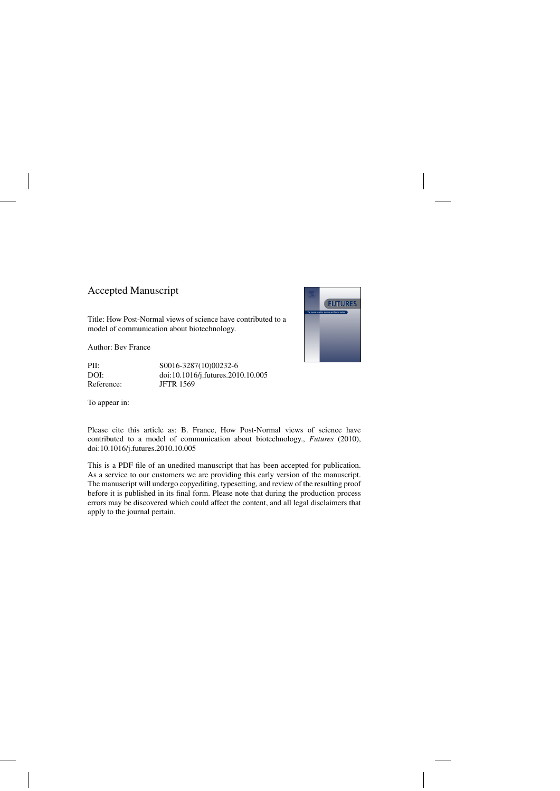# Accepted Manuscript

Title: How Post-Normal views of science have contributed to a model of communication about biotechnology.

Author: Bev France

PII: S0016-3287(10)00232-6 DOI: [doi:10.1016/j.futures.2010.10.005](dx.doi.org/doi:10.1016/j.futures.2010.10.005) Reference: JFTR 1569

To appear in:



Please cite this article as: B. France, How Post-Normal views of science have contributed to a model of communication about biotechnology., *Futures* (2010), doi:[10.1016/j.futures.2010.10.005](dx.doi.org/10.1016/j.futures.2010.10.005)

This is a PDF file of an unedited manuscript that has been accepted for publication. As a service to our customers we are providing this early version of the manuscript. The manuscript will undergo copyediting, typesetting, and review of the resulting proof before it is published in its final form. Please note that during the production process errors may be discovered which could affect the content, and all legal disclaimers that apply to the journal pertain.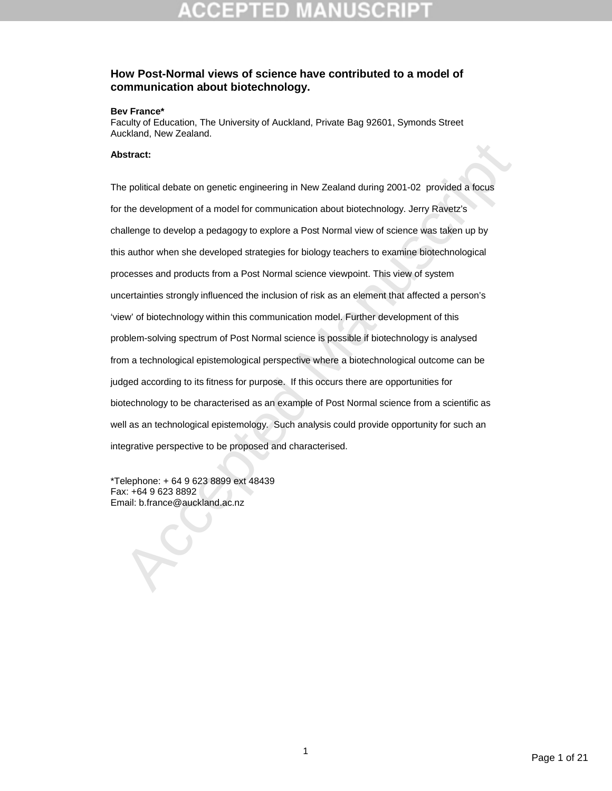## **How Post-Normal views of science have contributed to a model of communication about biotechnology.**

### **Bev France\***

Faculty of Education, The University of Auckland, Private Bag 92601, Symonds Street Auckland, New Zealand.

### **Abstract:**

stract:<br>
the political debate on genetic engineering in New Zealand during 2001-02 provided a focus<br>
the development of a model for communication about biotechnology. Jerry Ravetz's<br>
allenge to develop a pedagogy to explor The political debate on genetic engineering in New Zealand during 2001-02 provided a focus for the development of a model for communication about biotechnology. Jerry Ravetz's challenge to develop a pedagogy to explore a Post Normal view of science was taken up by this author when she developed strategies for biology teachers to examine biotechnological processes and products from a Post Normal science viewpoint. This view of system uncertainties strongly influenced the inclusion of risk as an element that affected a person's 'view' of biotechnology within this communication model. Further development of this problem-solving spectrum of Post Normal science is possible if biotechnology is analysed from a technological epistemological perspective where a biotechnological outcome can be judged according to its fitness for purpose. If this occurs there are opportunities for biotechnology to be characterised as an example of Post Normal science from a scientific as well as an technological epistemology. Such analysis could provide opportunity for such an integrative perspective to be proposed and characterised.

\*Telephone: + 64 9 623 8899 ext 48439 Fax: +64 9 623 8892 Email: b.france@auckland.ac.nz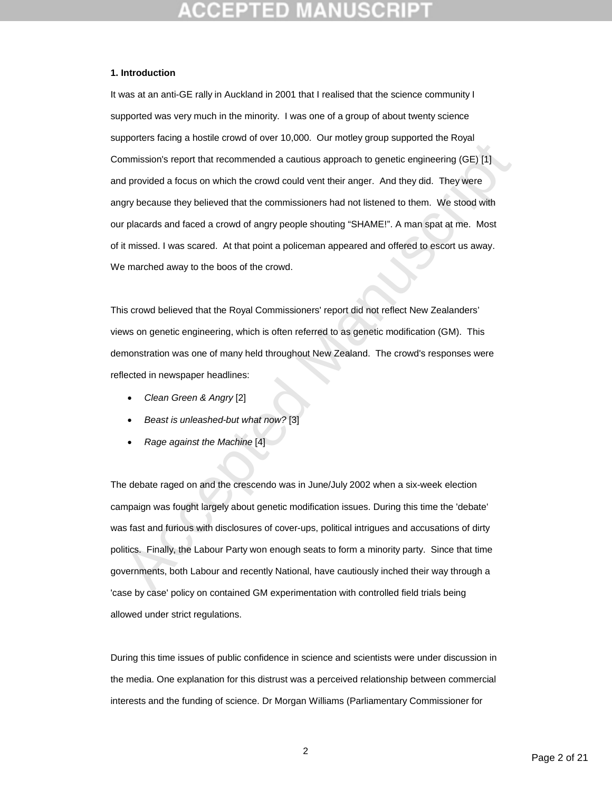### **1. Introduction**

Framission's report that recommended a cautious approach to genetic engineering (GE) [1]<br>
A provided a focus on which the crowd could vert their anger. And they did. They were<br>
dy because they believed that the commissione It was at an anti-GE rally in Auckland in 2001 that I realised that the science community I supported was very much in the minority. I was one of a group of about twenty science supporters facing a hostile crowd of over 10,000. Our motley group supported the Royal Commission's report that recommended a cautious approach to genetic engineering (GE) [1] and provided a focus on which the crowd could vent their anger. And they did. They were angry because they believed that the commissioners had not listened to them. We stood with our placards and faced a crowd of angry people shouting "SHAME!". A man spat at me. Most of it missed. I was scared. At that point a policeman appeared and offered to escort us away. We marched away to the boos of the crowd.

This crowd believed that the Royal Commissioners' report did not reflect New Zealanders' views on genetic engineering, which is often referred to as genetic modification (GM). This demonstration was one of many held throughout New Zealand. The crowd's responses were reflected in newspaper headlines:

- *Clean Green & Angry* [2]
- *Beast is unleashed-but what now?* [3]
- *Rage against the Machine* [4]

The debate raged on and the crescendo was in June/July 2002 when a six-week election campaign was fought largely about genetic modification issues. During this time the 'debate' was fast and furious with disclosures of cover-ups, political intrigues and accusations of dirty politics. Finally, the Labour Party won enough seats to form a minority party. Since that time governments, both Labour and recently National, have cautiously inched their way through a 'case by case' policy on contained GM experimentation with controlled field trials being allowed under strict regulations.

During this time issues of public confidence in science and scientists were under discussion in the media. One explanation for this distrust was a perceived relationship between commercial interests and the funding of science. Dr Morgan Williams (Parliamentary Commissioner for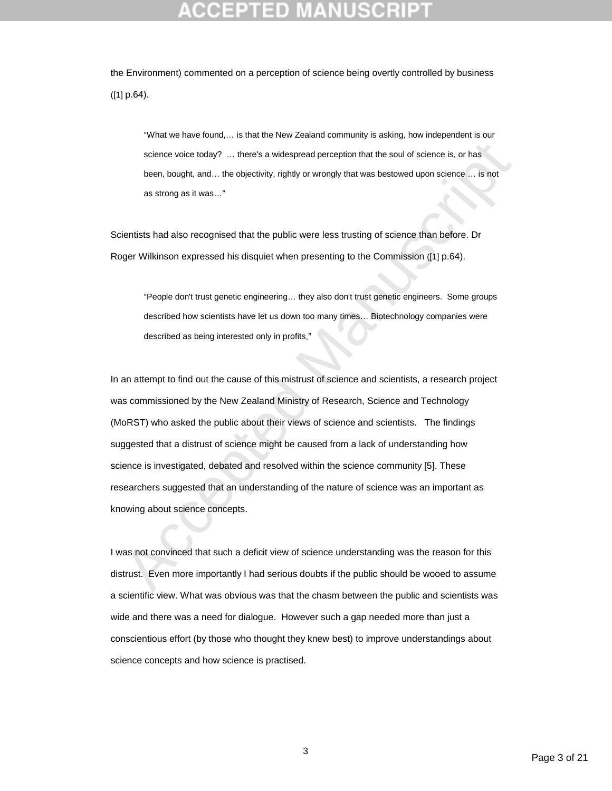the Environment) commented on a perception of science being overtly controlled by business ([1] p.64).

"What we have found,… is that the New Zealand community is asking, how independent is our science voice today? … there's a widespread perception that the soul of science is, or has been, bought, and… the objectivity, rightly or wrongly that was bestowed upon science … is not as strong as it was…"

Scientists had also recognised that the public were less trusting of science than before. Dr Roger Wilkinson expressed his disquiet when presenting to the Commission ([1] p.64).

"People don't trust genetic engineering… they also don't trust genetic engineers. Some groups described how scientists have let us down too many times… Biotechnology companies were described as being interested only in profits."

science voice today? ... there's a widespread perception that the soul of science is, or has<br>been, bought, and... the objectivity, rightly or wrongly that was bestowed upon science ... is not<br>as strong as it was ..."<br>intit In an attempt to find out the cause of this mistrust of science and scientists, a research project was commissioned by the New Zealand Ministry of Research, Science and Technology (MoRST) who asked the public about their views of science and scientists. The findings suggested that a distrust of science might be caused from a lack of understanding how science is investigated, debated and resolved within the science community [5]. These researchers suggested that an understanding of the nature of science was an important as knowing about science concepts.

I was not convinced that such a deficit view of science understanding was the reason for this distrust. Even more importantly I had serious doubts if the public should be wooed to assume a scientific view. What was obvious was that the chasm between the public and scientists was wide and there was a need for dialogue. However such a gap needed more than just a conscientious effort (by those who thought they knew best) to improve understandings about science concepts and how science is practised.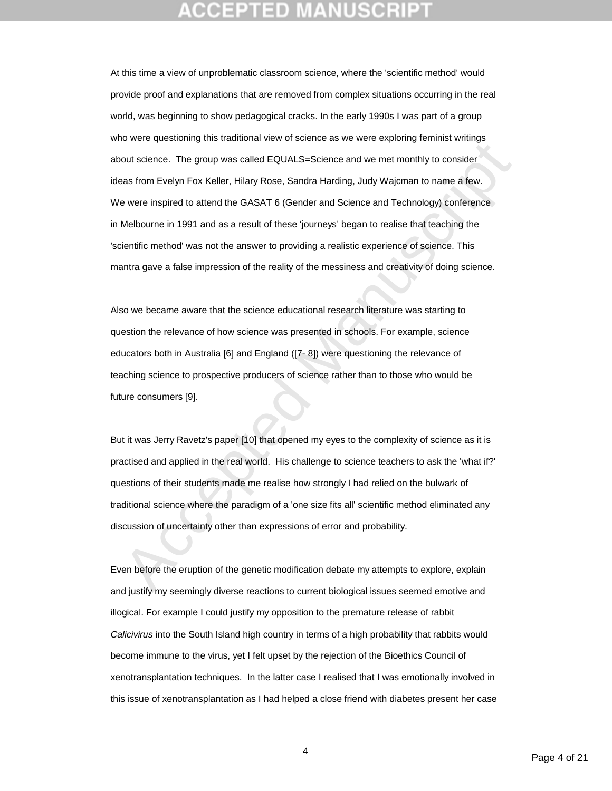and steince. The group was called EQUALS=Science and we met monthly to consider<br>out steince. The group was called EQUALS=Science and we met monthly to consider<br>ass from Evelyn Fox Keller, Hilary Rose, Sandra Harding, Judy At this time a view of unproblematic classroom science, where the 'scientific method' would provide proof and explanations that are removed from complex situations occurring in the real world, was beginning to show pedagogical cracks. In the early 1990s I was part of a group who were questioning this traditional view of science as we were exploring feminist writings about science. The group was called EQUALS=Science and we met monthly to consider ideas from Evelyn Fox Keller, Hilary Rose, Sandra Harding, Judy Wajcman to name a few. We were inspired to attend the GASAT 6 (Gender and Science and Technology) conference in Melbourne in 1991 and as a result of these 'journeys' began to realise that teaching the 'scientific method' was not the answer to providing a realistic experience of science. This mantra gave a false impression of the reality of the messiness and creativity of doing science.

Also we became aware that the science educational research literature was starting to question the relevance of how science was presented in schools. For example, science educators both in Australia [6] and England ([7- 8]) were questioning the relevance of teaching science to prospective producers of science rather than to those who would be future consumers [9].

But it was Jerry Ravetz's paper [10] that opened my eyes to the complexity of science as it is practised and applied in the real world. His challenge to science teachers to ask the 'what if?' questions of their students made me realise how strongly I had relied on the bulwark of traditional science where the paradigm of a 'one size fits all' scientific method eliminated any discussion of uncertainty other than expressions of error and probability.

Even before the eruption of the genetic modification debate my attempts to explore, explain and justify my seemingly diverse reactions to current biological issues seemed emotive and illogical. For example I could justify my opposition to the premature release of rabbit *Calicivirus* into the South Island high country in terms of a high probability that rabbits would become immune to the virus, yet I felt upset by the rejection of the Bioethics Council of xenotransplantation techniques. In the latter case I realised that I was emotionally involved in this issue of xenotransplantation as I had helped a close friend with diabetes present her case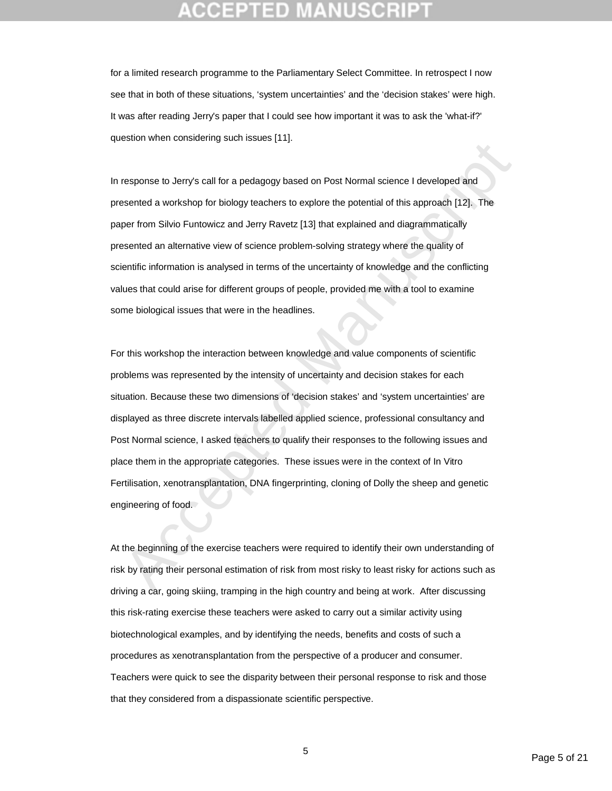for a limited research programme to the Parliamentary Select Committee. In retrospect I now see that in both of these situations, 'system uncertainties' and the 'decision stakes' were high. It was after reading Jerry's paper that I could see how important it was to ask the 'what-if?' question when considering such issues [11].

In response to Jerry's call for a pedagogy based on Post Normal science I developed and presented a workshop for biology teachers to explore the potential of this approach [12]. The paper from Silvio Funtowicz and Jerry Ravetz [13] that explained and diagrammatically presented an alternative view of science problem-solving strategy where the quality of scientific information is analysed in terms of the uncertainty of knowledge and the conflicting values that could arise for different groups of people, provided me with a tool to examine some biological issues that were in the headlines.

response to Jerry's call for a pedagogy based on Post Normal science I developed and<br>sesented a workshop for biology teachers to explore the potential of this approach [12]. The<br>per from Silvio Funtowicz and Jerry Ravetz [ For this workshop the interaction between knowledge and value components of scientific problems was represented by the intensity of uncertainty and decision stakes for each situation. Because these two dimensions of 'decision stakes' and 'system uncertainties' are displayed as three discrete intervals labelled applied science, professional consultancy and Post Normal science, I asked teachers to qualify their responses to the following issues and place them in the appropriate categories. These issues were in the context of In Vitro Fertilisation, xenotransplantation, DNA fingerprinting, cloning of Dolly the sheep and genetic engineering of food.

At the beginning of the exercise teachers were required to identify their own understanding of risk by rating their personal estimation of risk from most risky to least risky for actions such as driving a car, going skiing, tramping in the high country and being at work. After discussing this risk-rating exercise these teachers were asked to carry out a similar activity using biotechnological examples, and by identifying the needs, benefits and costs of such a procedures as xenotransplantation from the perspective of a producer and consumer. Teachers were quick to see the disparity between their personal response to risk and those that they considered from a dispassionate scientific perspective.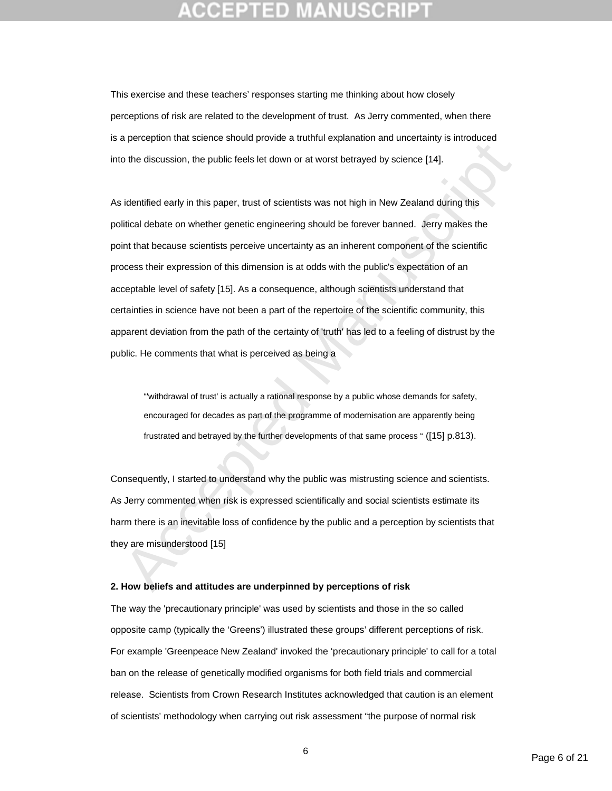This exercise and these teachers' responses starting me thinking about how closely perceptions of risk are related to the development of trust. As Jerry commented, when there is a perception that science should provide a truthful explanation and uncertainty is introduced into the discussion, the public feels let down or at worst betrayed by science [14].

photographic field between the public fields left down or at worst betrayed by science [14].<br>
Acceptified early in this paper, trust of scientists was not high in New Zealand during this<br>
Acceptified early in this paper, t As identified early in this paper, trust of scientists was not high in New Zealand during this political debate on whether genetic engineering should be forever banned. Jerry makes the point that because scientists perceive uncertainty as an inherent component of the scientific process their expression of this dimension is at odds with the public's expectation of an acceptable level of safety [15]. As a consequence, although scientists understand that certainties in science have not been a part of the repertoire of the scientific community, this apparent deviation from the path of the certainty of 'truth' has led to a feeling of distrust by the public. He comments that what is perceived as being a

"'withdrawal of trust' is actually a rational response by a public whose demands for safety, encouraged for decades as part of the programme of modernisation are apparently being frustrated and betrayed by the further developments of that same process " ([15] p.813).

Consequently, I started to understand why the public was mistrusting science and scientists. As Jerry commented when risk is expressed scientifically and social scientists estimate its harm there is an inevitable loss of confidence by the public and a perception by scientists that they are misunderstood [15]

### **2. How beliefs and attitudes are underpinned by perceptions of risk**

The way the 'precautionary principle' was used by scientists and those in the so called opposite camp (typically the 'Greens') illustrated these groups' different perceptions of risk. For example 'Greenpeace New Zealand' invoked the 'precautionary principle' to call for a total ban on the release of genetically modified organisms for both field trials and commercial release. Scientists from Crown Research Institutes acknowledged that caution is an element of scientists' methodology when carrying out risk assessment "the purpose of normal risk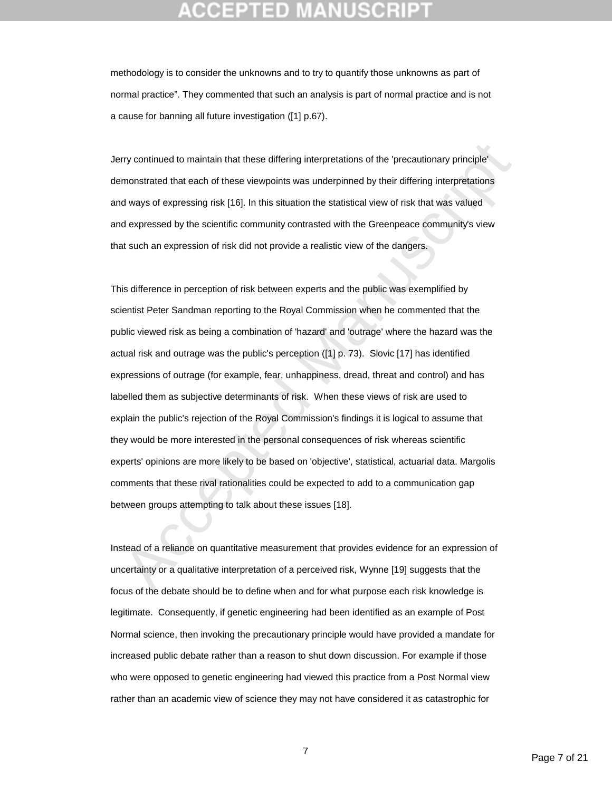methodology is to consider the unknowns and to try to quantify those unknowns as part of normal practice". They commented that such an analysis is part of normal practice and is not a cause for banning all future investigation ([1] p.67).

Jerry continued to maintain that these differing interpretations of the 'precautionary principle' demonstrated that each of these viewpoints was underpinned by their differing interpretations and ways of expressing risk [16]. In this situation the statistical view of risk that was valued and expressed by the scientific community contrasted with the Greenpeace community's view that such an expression of risk did not provide a realistic view of the dangers.

rry continued to maintain that these differing interpretations of the 'precautionary principle'<br>monstrated that each of these viewpoints was underpinned by their differing interpretations<br>d ways of expressing risk [16]. In This difference in perception of risk between experts and the public was exemplified by scientist Peter Sandman reporting to the Royal Commission when he commented that the public viewed risk as being a combination of 'hazard' and 'outrage' where the hazard was the actual risk and outrage was the public's perception ([1] p. 73). Slovic [17] has identified expressions of outrage (for example, fear, unhappiness, dread, threat and control) and has labelled them as subjective determinants of risk. When these views of risk are used to explain the public's rejection of the Royal Commission's findings it is logical to assume that they would be more interested in the personal consequences of risk whereas scientific experts' opinions are more likely to be based on 'objective', statistical, actuarial data. Margolis comments that these rival rationalities could be expected to add to a communication gap between groups attempting to talk about these issues [18].

Instead of a reliance on quantitative measurement that provides evidence for an expression of uncertainty or a qualitative interpretation of a perceived risk, Wynne [19] suggests that the focus of the debate should be to define when and for what purpose each risk knowledge is legitimate. Consequently, if genetic engineering had been identified as an example of Post Normal science, then invoking the precautionary principle would have provided a mandate for increased public debate rather than a reason to shut down discussion. For example if those who were opposed to genetic engineering had viewed this practice from a Post Normal view rather than an academic view of science they may not have considered it as catastrophic for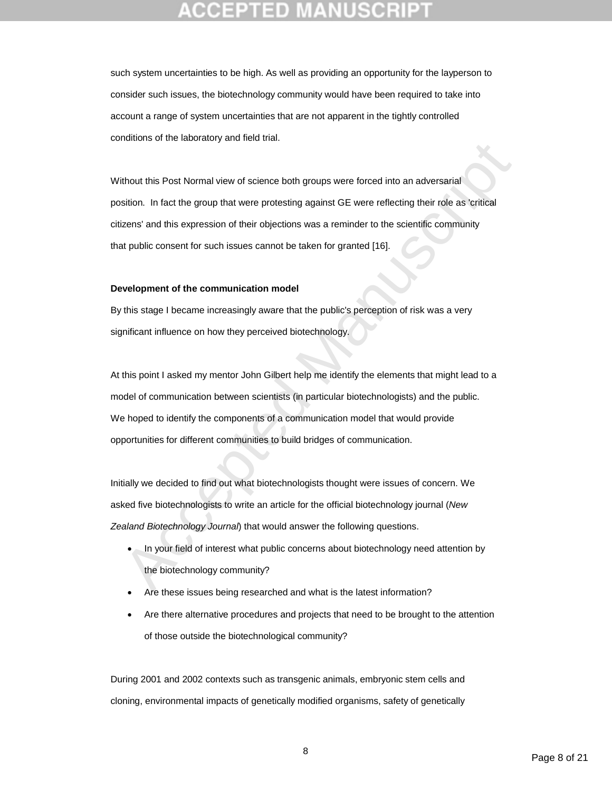such system uncertainties to be high. As well as providing an opportunity for the layperson to consider such issues, the biotechnology community would have been required to take into account a range of system uncertainties that are not apparent in the tightly controlled conditions of the laboratory and field trial.

Without this Post Normal view of science both groups were forced into an adversarial position. In fact the group that were protesting against GE were reflecting their role as 'critical citizens' and this expression of their objections was a reminder to the scientific community that public consent for such issues cannot be taken for granted [16].

### **Development of the communication model**

By this stage I became increasingly aware that the public's perception of risk was a very significant influence on how they perceived biotechnology.

Motural of the last team of solition of solition of solition of the file of the signification. In fact the group that were protesting against GE were reflecting their role as 'critical<br>
action. In fact the group that were At this point I asked my mentor John Gilbert help me identify the elements that might lead to a model of communication between scientists (in particular biotechnologists) and the public. We hoped to identify the components of a communication model that would provide opportunities for different communities to build bridges of communication.

Initially we decided to find out what biotechnologists thought were issues of concern. We asked five biotechnologists to write an article for the official biotechnology journal (*New Zealand Biotechnology Journal*) that would answer the following questions.

- In your field of interest what public concerns about biotechnology need attention by the biotechnology community?
- Are these issues being researched and what is the latest information?
- Are there alternative procedures and projects that need to be brought to the attention of those outside the biotechnological community?

During 2001 and 2002 contexts such as transgenic animals, embryonic stem cells and cloning, environmental impacts of genetically modified organisms, safety of genetically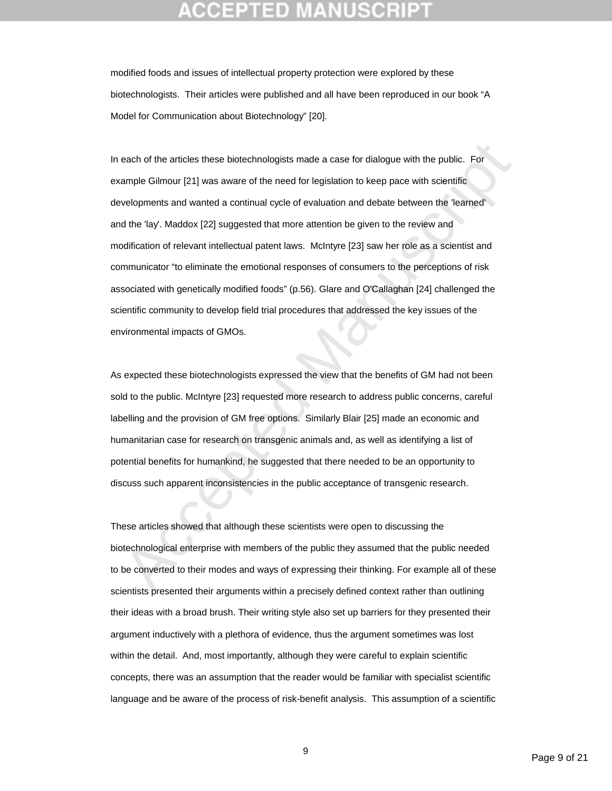modified foods and issues of intellectual property protection were explored by these biotechnologists. Their articles were published and all have been reproduced in our book "A Model for Communication about Biotechnology" [20].

each of the articles these biotechnologists made a case for dialogue with the public. For<br>ample Gilmour [21] was aware of the need for legislation to keep pace with scientific<br>welopments and wanted a continual cycle of eva In each of the articles these biotechnologists made a case for dialogue with the public. For example Gilmour [21] was aware of the need for legislation to keep pace with scientific developments and wanted a continual cycle of evaluation and debate between the 'learned' and the 'lay'. Maddox [22] suggested that more attention be given to the review and modification of relevant intellectual patent laws. McIntyre [23] saw her role as a scientist and communicator "to eliminate the emotional responses of consumers to the perceptions of risk associated with genetically modified foods" (p.56). Glare and O'Callaghan [24] challenged the scientific community to develop field trial procedures that addressed the key issues of the environmental impacts of GMOs.

As expected these biotechnologists expressed the view that the benefits of GM had not been sold to the public. McIntyre [23] requested more research to address public concerns, careful labelling and the provision of GM free options. Similarly Blair [25] made an economic and humanitarian case for research on transgenic animals and, as well as identifying a list of potential benefits for humankind, he suggested that there needed to be an opportunity to discuss such apparent inconsistencies in the public acceptance of transgenic research.

These articles showed that although these scientists were open to discussing the biotechnological enterprise with members of the public they assumed that the public needed to be converted to their modes and ways of expressing their thinking. For example all of these scientists presented their arguments within a precisely defined context rather than outlining their ideas with a broad brush. Their writing style also set up barriers for they presented their argument inductively with a plethora of evidence, thus the argument sometimes was lost within the detail. And, most importantly, although they were careful to explain scientific concepts, there was an assumption that the reader would be familiar with specialist scientific language and be aware of the process of risk-benefit analysis. This assumption of a scientific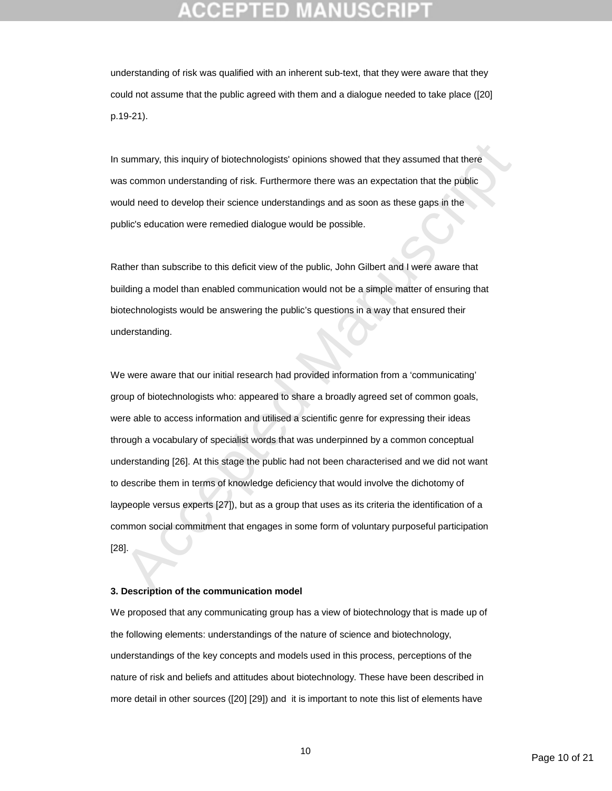understanding of risk was qualified with an inherent sub-text, that they were aware that they could not assume that the public agreed with them and a dialogue needed to take place ([20] p.19-21).

In summary, this inquiry of biotechnologists' opinions showed that they assumed that there was common understanding of risk. Furthermore there was an expectation that the public would need to develop their science understandings and as soon as these gaps in the public's education were remedied dialogue would be possible.

Rather than subscribe to this deficit view of the public, John Gilbert and I were aware that building a model than enabled communication would not be a simple matter of ensuring that biotechnologists would be answering the public's questions in a way that ensured their understanding.

summary, this inquiry of biotechnologists' opinions showed that they assumed that there<br>as common understanding of risk. Furthermore there was an expectation that the public<br>bud need to develop their science understandings We were aware that our initial research had provided information from a 'communicating' group of biotechnologists who: appeared to share a broadly agreed set of common goals, were able to access information and utilised a scientific genre for expressing their ideas through a vocabulary of specialist words that was underpinned by a common conceptual understanding [26]. At this stage the public had not been characterised and we did not want to describe them in terms of knowledge deficiency that would involve the dichotomy of laypeople versus experts [27]), but as a group that uses as its criteria the identification of a common social commitment that engages in some form of voluntary purposeful participation [28].

### **3. Description of the communication model**

We proposed that any communicating group has a view of biotechnology that is made up of the following elements: understandings of the nature of science and biotechnology, understandings of the key concepts and models used in this process, perceptions of the nature of risk and beliefs and attitudes about biotechnology. These have been described in more detail in other sources ([20] [29]) and it is important to note this list of elements have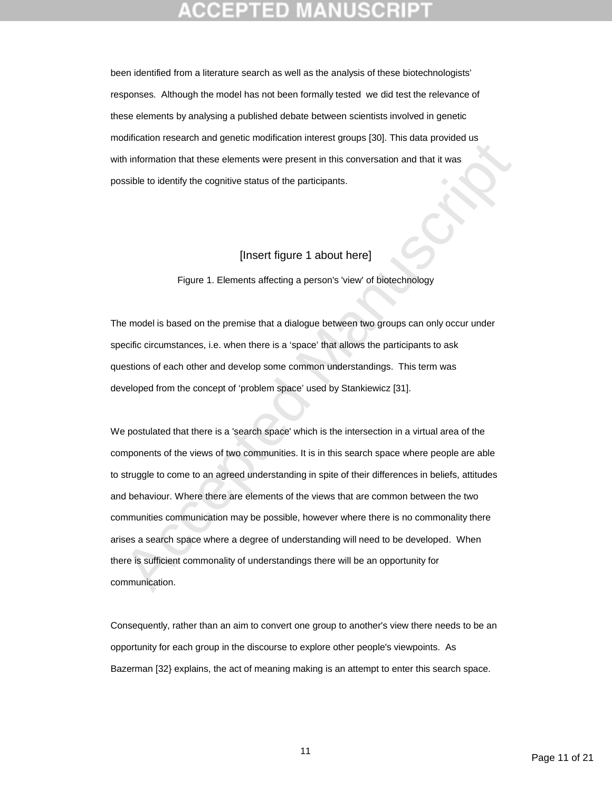been identified from a literature search as well as the analysis of these biotechnologists' responses. Although the model has not been formally tested we did test the relevance of these elements by analysing a published debate between scientists involved in genetic modification research and genetic modification interest groups [30]. This data provided us with information that these elements were present in this conversation and that it was possible to identify the cognitive status of the participants.

# [Insert figure 1 about here]

Figure 1. Elements affecting a person's 'view' of biotechnology

The model is based on the premise that a dialogue between two groups can only occur under specific circumstances, i.e. when there is a 'space' that allows the participants to ask questions of each other and develop some common understandings. This term was developed from the concept of 'problem space' used by Stankiewicz [31].

Manuscript and the three semestions and that it was the information that these elements were present in this conversation and that it was<br>
Stable to identify the cognitive status of the participants.<br>
[Insert figure 1 abou We postulated that there is a 'search space' which is the intersection in a virtual area of the components of the views of two communities. It is in this search space where people are able to struggle to come to an agreed understanding in spite of their differences in beliefs, attitudes and behaviour. Where there are elements of the views that are common between the two communities communication may be possible, however where there is no commonality there arises a search space where a degree of understanding will need to be developed. When there is sufficient commonality of understandings there will be an opportunity for communication.

Consequently, rather than an aim to convert one group to another's view there needs to be an opportunity for each group in the discourse to explore other people's viewpoints. As Bazerman [32} explains, the act of meaning making is an attempt to enter this search space.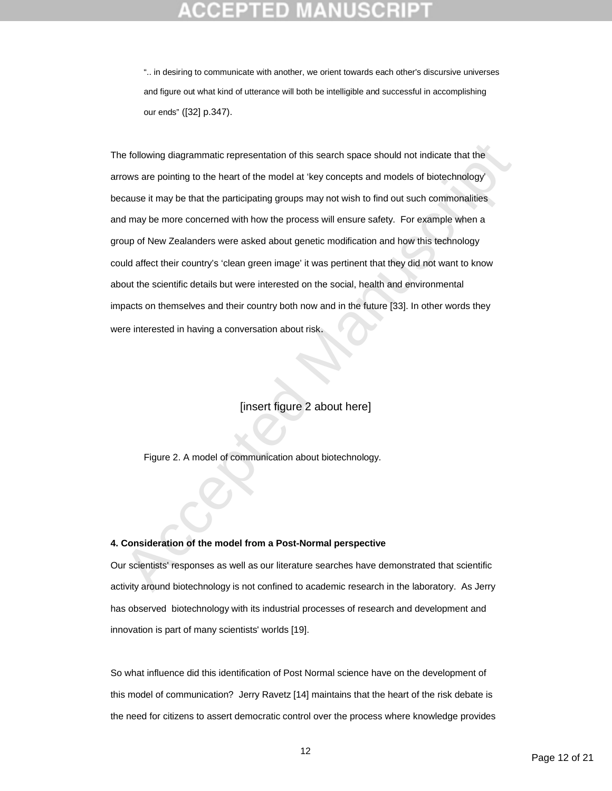".. in desiring to communicate with another, we orient towards each other's discursive universes and figure out what kind of utterance will both be intelligible and successful in accomplishing our ends" ([32] p.347).

a following diagrammatic representation of this search space should not indicate that the<br>cows are pointing to the heart of the model at 'key concepts and models of biotechnology<br>cause it may be that the participating grou The following diagrammatic representation of this search space should not indicate that the arrows are pointing to the heart of the model at 'key concepts and models of biotechnology' because it may be that the participating groups may not wish to find out such commonalities and may be more concerned with how the process will ensure safety. For example when a group of New Zealanders were asked about genetic modification and how this technology could affect their country's 'clean green image' it was pertinent that they did not want to know about the scientific details but were interested on the social, health and environmental impacts on themselves and their country both now and in the future [33]. In other words they were interested in having a conversation about risk.

[insert figure 2 about here]

Figure 2. A model of communication about biotechnology.

### **4. Consideration of the model from a Post-Normal perspective**

Our scientists' responses as well as our literature searches have demonstrated that scientific activity around biotechnology is not confined to academic research in the laboratory. As Jerry has observed biotechnology with its industrial processes of research and development and innovation is part of many scientists' worlds [19].

So what influence did this identification of Post Normal science have on the development of this model of communication? Jerry Ravetz [14] maintains that the heart of the risk debate is the need for citizens to assert democratic control over the process where knowledge provides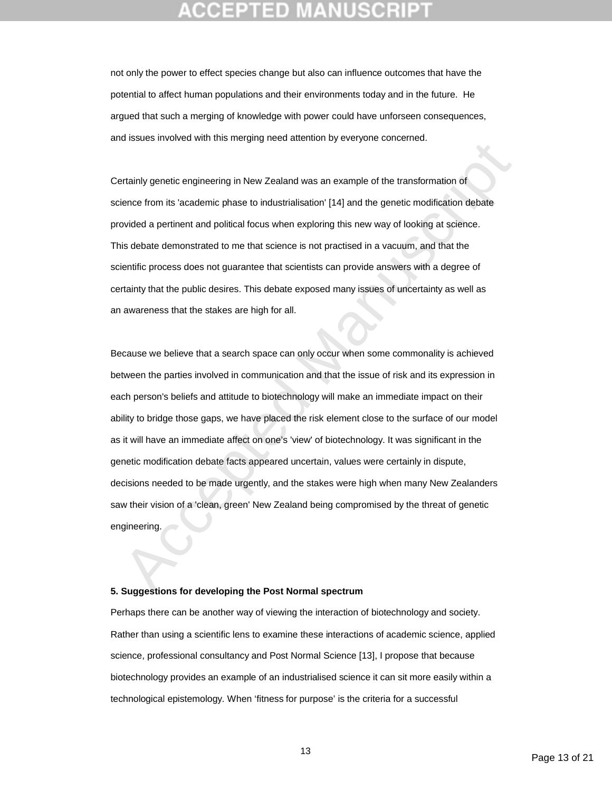not only the power to effect species change but also can influence outcomes that have the potential to affect human populations and their environments today and in the future. He argued that such a merging of knowledge with power could have unforseen consequences, and issues involved with this merging need attention by everyone concerned.

Certainly genetic engineering in New Zealand was an example of the transformation of science from its 'academic phase to industrialisation' [14] and the genetic modification debate provided a pertinent and political focus when exploring this new way of looking at science. This debate demonstrated to me that science is not practised in a vacuum, and that the scientific process does not guarantee that scientists can provide answers with a degree of certainty that the public desires. This debate exposed many issues of uncertainty as well as an awareness that the stakes are high for all.

and the method and method was an example of the transformation<br>ortainly genetic engineering in New Zealand was an example of the transformation of<br>eince from its 'academic phase to industrialisation' [14] and the genetic m Because we believe that a search space can only occur when some commonality is achieved between the parties involved in communication and that the issue of risk and its expression in each person's beliefs and attitude to biotechnology will make an immediate impact on their ability to bridge those gaps, we have placed the risk element close to the surface of our model as it will have an immediate affect on one's 'view' of biotechnology. It was significant in the genetic modification debate facts appeared uncertain, values were certainly in dispute, decisions needed to be made urgently, and the stakes were high when many New Zealanders saw their vision of a 'clean, green' New Zealand being compromised by the threat of genetic engineering.

### **5. Suggestions for developing the Post Normal spectrum**

Perhaps there can be another way of viewing the interaction of biotechnology and society. Rather than using a scientific lens to examine these interactions of academic science, applied science, professional consultancy and Post Normal Science [13], I propose that because biotechnology provides an example of an industrialised science it can sit more easily within a technological epistemology. When 'fitness for purpose' is the criteria for a successful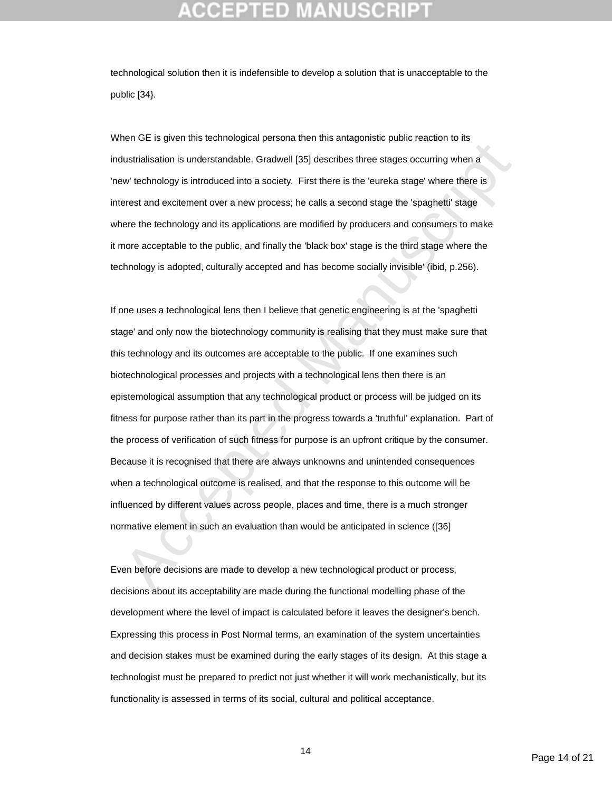technological solution then it is indefensible to develop a solution that is unacceptable to the public [34}.

When GE is given this technological persona then this antagonistic public reaction to its industrialisation is understandable. Gradwell [35] describes three stages occurring when a 'new' technology is introduced into a society. First there is the 'eureka stage' where there is interest and excitement over a new process; he calls a second stage the 'spaghetti' stage where the technology and its applications are modified by producers and consumers to make it more acceptable to the public, and finally the 'black box' stage is the third stage where the technology is adopted, culturally accepted and has become socially invisible' (ibid, p.256).

studialisation is understandable. Gradwell [36] describes three stages occurring when a<br>studialisation is understandable. Gradwell [36] describes three stages occurring when a<br>evidenchogy is introduced into a society. Firs If one uses a technological lens then I believe that genetic engineering is at the 'spaghetti stage' and only now the biotechnology community is realising that they must make sure that this technology and its outcomes are acceptable to the public. If one examines such biotechnological processes and projects with a technological lens then there is an epistemological assumption that any technological product or process will be judged on its fitness for purpose rather than its part in the progress towards a 'truthful' explanation. Part of the process of verification of such fitness for purpose is an upfront critique by the consumer. Because it is recognised that there are always unknowns and unintended consequences when a technological outcome is realised, and that the response to this outcome will be influenced by different values across people, places and time, there is a much stronger normative element in such an evaluation than would be anticipated in science ([36]

Even before decisions are made to develop a new technological product or process, decisions about its acceptability are made during the functional modelling phase of the development where the level of impact is calculated before it leaves the designer's bench. Expressing this process in Post Normal terms, an examination of the system uncertainties and decision stakes must be examined during the early stages of its design. At this stage a technologist must be prepared to predict not just whether it will work mechanistically, but its functionality is assessed in terms of its social, cultural and political acceptance.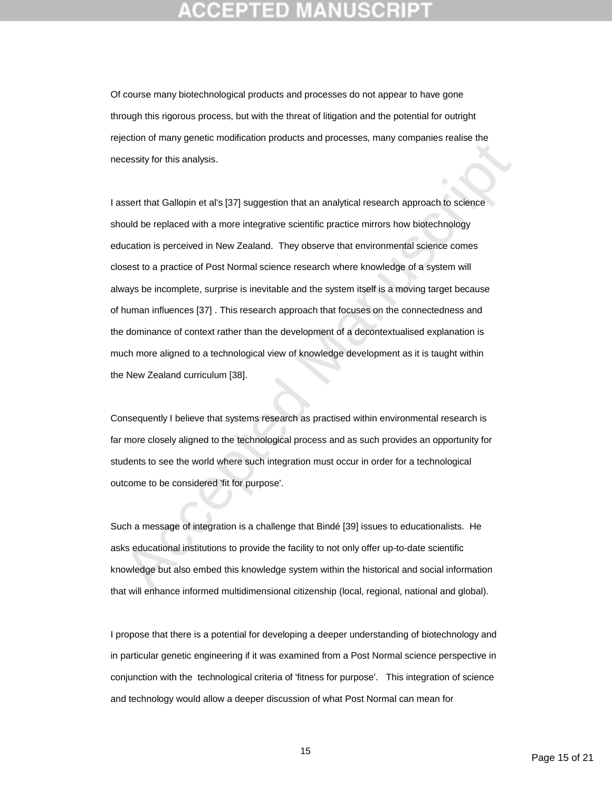Of course many biotechnological products and processes do not appear to have gone through this rigorous process, but with the threat of litigation and the potential for outright rejection of many genetic modification products and processes, many companies realise the necessity for this analysis.

seasing for this analysis.<br>
Seart that Gallopin et al's (37) suggestion that an analytical research approach to science<br>
Seart that Gallopin et al's (37) suggestion that an analytical research approach to science<br>
ould be I assert that Gallopin et al's [37] suggestion that an analytical research approach to science should be replaced with a more integrative scientific practice mirrors how biotechnology education is perceived in New Zealand. They observe that environmental science comes closest to a practice of Post Normal science research where knowledge of a system will always be incomplete, surprise is inevitable and the system itself is a moving target because of human influences [37] . This research approach that focuses on the connectedness and the dominance of context rather than the development of a decontextualised explanation is much more aligned to a technological view of knowledge development as it is taught within the New Zealand curriculum [38].

Consequently I believe that systems research as practised within environmental research is far more closely aligned to the technological process and as such provides an opportunity for students to see the world where such integration must occur in order for a technological outcome to be considered 'fit for purpose'.

Such a message of integration is a challenge that Bindé [39] issues to educationalists. He asks educational institutions to provide the facility to not only offer up-to-date scientific knowledge but also embed this knowledge system within the historical and social information that will enhance informed multidimensional citizenship (local, regional, national and global).

I propose that there is a potential for developing a deeper understanding of biotechnology and in particular genetic engineering if it was examined from a Post Normal science perspective in conjunction with the technological criteria of 'fitness for purpose'. This integration of science and technology would allow a deeper discussion of what Post Normal can mean for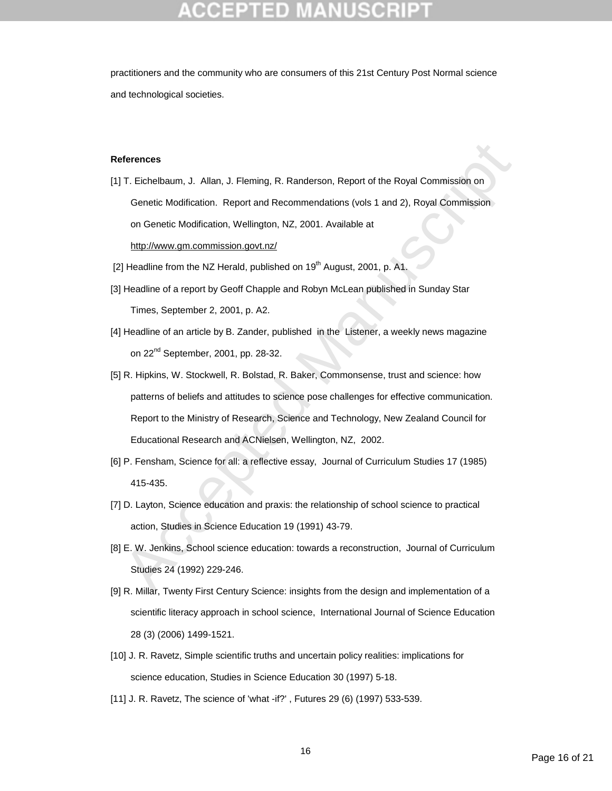practitioners and the community who are consumers of this 21st Century Post Normal science and technological societies.

### **References**

- [1] T. Eichelbaum, J. Allan, J. Fleming, R. Randerson, Report of the Royal Commission on Genetic Modification. Report and Recommendations (vols 1 and 2), Royal Commission on Genetic Modification, Wellington, NZ, 2001. Available at http://www.gm.commission.govt.nz/
- [2] Headline from the NZ Herald, published on  $19<sup>th</sup>$  August, 2001, p. A1.
- [3] Headline of a report by Geoff Chapple and Robyn McLean published in Sunday Star Times, September 2, 2001, p. A2.
- [4] Headline of an article by B. Zander, published in the Listener, a weekly news magazine on 22<sup>nd</sup> September, 2001, pp. 28-32.
- rferences<br>
T. Eichelbaum, J. Allan, J. Fleming, R. Randerson, Report of the Royal Commission on<br>
Genetic Modification. Report and Recommendations (vols 1 and 2), Royal Commission<br>
on Genetic Modification, Wellington, NZ, 2 [5] R. Hipkins, W. Stockwell, R. Bolstad, R. Baker, Commonsense, trust and science: how patterns of beliefs and attitudes to science pose challenges for effective communication. Report to the Ministry of Research, Science and Technology, New Zealand Council for Educational Research and ACNielsen, Wellington, NZ, 2002.
- [6] P. Fensham, Science for all: a reflective essay, Journal of Curriculum Studies 17 (1985) 415-435.
- [7] D. Layton, Science education and praxis: the relationship of school science to practical action, Studies in Science Education 19 (1991) 43-79.
- [8] E. W. Jenkins, School science education: towards a reconstruction, Journal of Curriculum Studies 24 (1992) 229-246.
- [9] R. Millar, Twenty First Century Science: insights from the design and implementation of a scientific literacy approach in school science, International Journal of Science Education 28 (3) (2006) 1499-1521.
- [10] J. R. Ravetz, Simple scientific truths and uncertain policy realities: implications for science education, Studies in Science Education 30 (1997) 5-18.
- [11] J. R. Ravetz, The science of 'what -if?', Futures 29 (6) (1997) 533-539.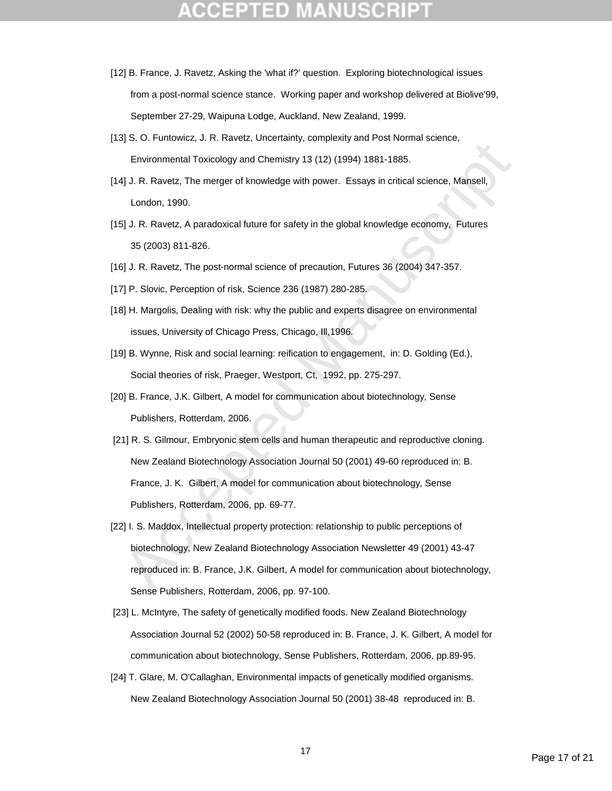- [12] B. France, J. Ravetz, Asking the 'what if?' question. Exploring biotechnological issues from a post-normal science stance. Working paper and workshop delivered at Biolive'99, September 27-29, Waipuna Lodge, Auckland, New Zealand, 1999.
- [13] S. O. Funtowicz, J. R. Ravetz, Uncertainty, complexity and Post Normal science, Environmental Toxicology and Chemistry 13 (12) (1994) 1881-1885.
- [14] J. R. Ravetz, The merger of knowledge with power. Essays in critical science, Mansell, London, 1990.
- [15] J. R. Ravetz, A paradoxical future for safety in the global knowledge economy, Futures 35 (2003) 811-826.
- [16] J. R. Ravetz, The post-normal science of precaution, Futures 36 (2004) 347-357.
- [17] P. Slovic, Perception of risk, Science 236 (1987) 280-285.
- [18] H. Margolis, Dealing with risk: why the public and experts disagree on environmental issues, University of Chicago Press, Chicago, Ill,1996.
- [19] B. Wynne, Risk and social learning: reification to engagement, in: D. Golding (Ed.), Social theories of risk, Praeger, Westport, Ct, 1992, pp. 275-297.
- [20] B. France, J.K. Gilbert, A model for communication about biotechnology, Sense Publishers, Rotterdam, 2006.
- Environmental Toxicology and Chemistry 13 (12) (1994) 1881-1885.<br>
4) Environmental Toxicology and Chemistry 13 (12) (1994) 1881-1885.<br>
4) J. R. Ravetz, The merger of knowledge with power. Essays in critical science, Mansel [21] R. S. Gilmour, Embryonic stem cells and human therapeutic and reproductive cloning. New Zealand Biotechnology Association Journal 50 (2001) 49-60 reproduced in: B. France, J. K. Gilbert, A model for communication about biotechnology, Sense Publishers, Rotterdam, 2006, pp. 69-77.
- [22] I. S. Maddox, Intellectual property protection: relationship to public perceptions of biotechnology, New Zealand Biotechnology Association Newsletter 49 (2001) 43-47 reproduced in: B. France, J.K. Gilbert, A model for communication about biotechnology, Sense Publishers, Rotterdam, 2006, pp. 97-100.
- [23] L. McIntyre, The safety of genetically modified foods. New Zealand Biotechnology Association Journal 52 (2002) 50-58 reproduced in: B. France, J. K. Gilbert, A model for communication about biotechnology, Sense Publishers, Rotterdam, 2006, pp.89-95.
- [24] T. Glare, M. O'Callaghan, Environmental impacts of genetically modified organisms. New Zealand Biotechnology Association Journal 50 (2001) 38-48 reproduced in: B.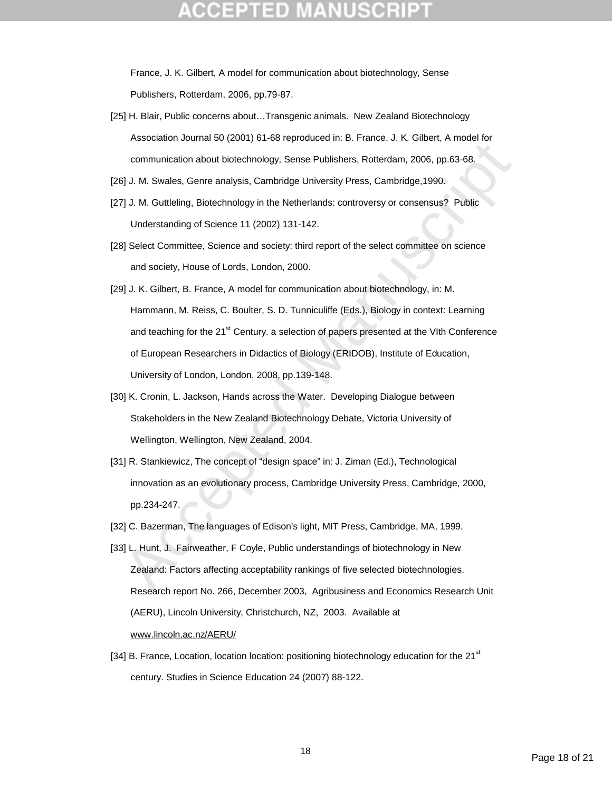France, J. K. Gilbert, A model for communication about biotechnology, Sense Publishers, Rotterdam, 2006, pp.79-87.

- [25] H. Blair, Public concerns about…Transgenic animals. New Zealand Biotechnology Association Journal 50 (2001) 61-68 reproduced in: B. France, J. K. Gilbert, A model for communication about biotechnology, Sense Publishers, Rotterdam, 2006, pp.63-68.
- [26] J. M. Swales, Genre analysis, Cambridge University Press, Cambridge,1990.
- [27] J. M. Guttleling, Biotechnology in the Netherlands: controversy or consensus? Public Understanding of Science 11 (2002) 131-142.
- [28] Select Committee, Science and society: third report of the select committee on science and society, House of Lords, London, 2000.
- communication about biotechnology, Sense Publishers, Rotterdam, 2006, pp.63-68.<br>
3] J. M. Swales, Genre analysis, Cambridge University Press, Cambridge, 1990.<br>
4. M. Swales, Genre analysis, Cambridge University Press, Camb [29] J. K. Gilbert, B. France, A model for communication about biotechnology, in: M. Hammann, M. Reiss, C. Boulter, S. D. Tunniculiffe (Eds.), Biology in context: Learning and teaching for the 21<sup>st</sup> Century. a selection of papers presented at the VIth Conference of European Researchers in Didactics of Biology (ERIDOB), Institute of Education, University of London, London, 2008, pp.139-148.
- [30] K. Cronin, L. Jackson, Hands across the Water. Developing Dialogue between Stakeholders in the New Zealand Biotechnology Debate, Victoria University of Wellington, Wellington, New Zealand, 2004.
- [31] R. Stankiewicz, The concept of "design space" in: J. Ziman (Ed.), Technological innovation as an evolutionary process, Cambridge University Press, Cambridge, 2000, pp.234-247.
- [32] C. Bazerman, The languages of Edison's light, MIT Press, Cambridge, MA, 1999.
- [33] L. Hunt, J. Fairweather, F Coyle, Public understandings of biotechnology in New Zealand: Factors affecting acceptability rankings of five selected biotechnologies, Research report No. 266, December 2003*,* Agribusiness and Economics Research Unit (AERU), Lincoln University, Christchurch, NZ, 2003. Available at www.lincoln.ac.nz/AERU/
- [34] B. France, Location, location location: positioning biotechnology education for the  $21<sup>st</sup>$ century. Studies in Science Education 24 (2007) 88-122.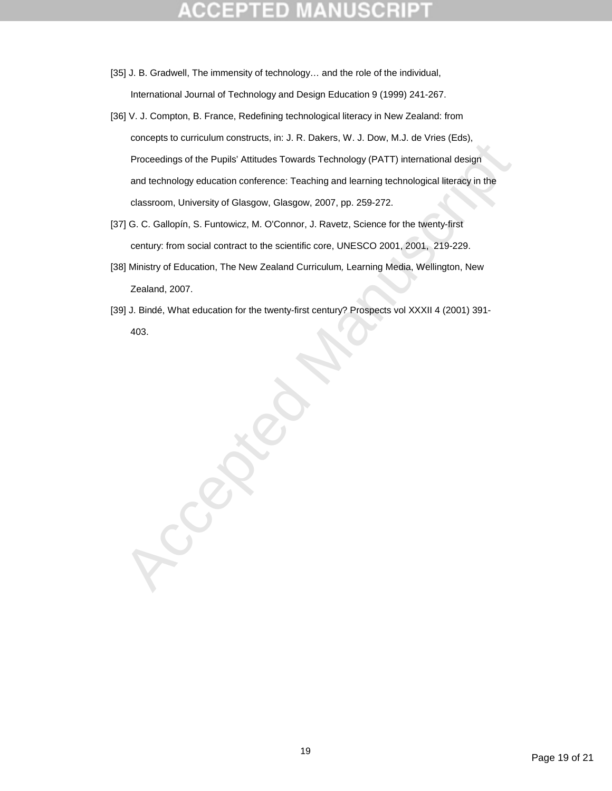- [35] J. B. Gradwell, The immensity of technology… and the role of the individual, International Journal of Technology and Design Education 9 (1999) 241-267.
- [36] V. J. Compton, B. France, Redefining technological literacy in New Zealand: from concepts to curriculum constructs, in: J. R. Dakers, W. J. Dow, M.J. de Vries (Eds), Proceedings of the Pupils' Attitudes Towards Technology (PATT) international design and technology education conference: Teaching and learning technological literacy in the classroom, University of Glasgow, Glasgow, 2007, pp. 259-272.
- [37] G. C. Gallopín, S. Funtowicz, M. O'Connor, J. Ravetz, Science for the twenty-first century: from social contract to the scientific core, UNESCO 2001, 2001, 219-229.
- [38] Ministry of Education, The New Zealand Curriculum*,* Learning Media, Wellington, New Zealand, 2007.
- [39] J. Bindé, What education for the twenty-first century? Prospects vol XXXII 4 (2001) 391- 403.

Ccepted Manuscript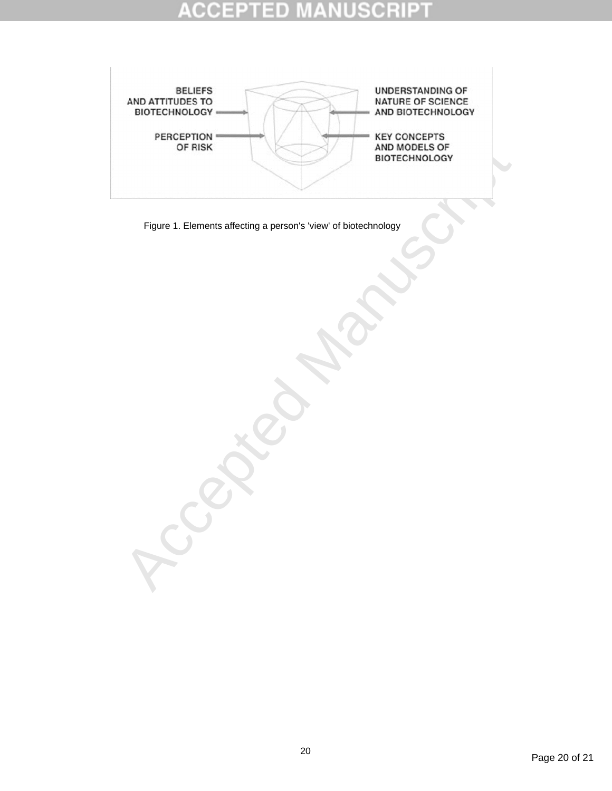### Ė CC D F  $\overline{\tau}$ 0



Figure 1. Elements affecting a person's 'view' of biotechnology